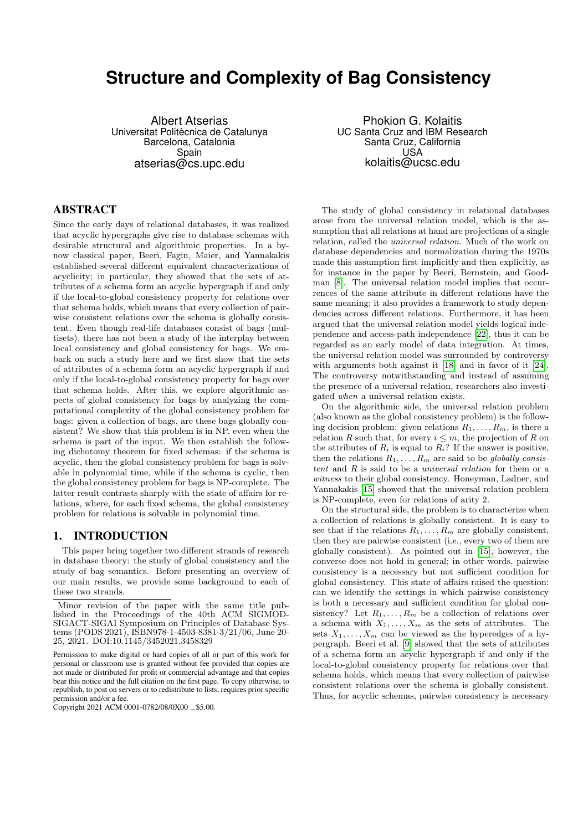# **Structure and Complexity of Bag Consistency**

Albert Atserias Universitat Politècnica de Catalunya Barcelona, Catalonia Spain atserias@cs.upc.edu

#### ABSTRACT

Since the early days of relational databases, it was realized that acyclic hypergraphs give rise to database schemas with desirable structural and algorithmic properties. In a bynow classical paper, Beeri, Fagin, Maier, and Yannakakis established several different equivalent characterizations of acyclicity; in particular, they showed that the sets of attributes of a schema form an acyclic hypergraph if and only if the local-to-global consistency property for relations over that schema holds, which means that every collection of pairwise consistent relations over the schema is globally consistent. Even though real-life databases consist of bags (multisets), there has not been a study of the interplay between local consistency and global consistency for bags. We embark on such a study here and we first show that the sets of attributes of a schema form an acyclic hypergraph if and only if the local-to-global consistency property for bags over that schema holds. After this, we explore algorithmic aspects of global consistency for bags by analyzing the computational complexity of the global consistency problem for bags: given a collection of bags, are these bags globally consistent? We show that this problem is in NP, even when the schema is part of the input. We then establish the following dichotomy theorem for fixed schemas: if the schema is acyclic, then the global consistency problem for bags is solvable in polynomial time, while if the schema is cyclic, then the global consistency problem for bags is NP-complete. The latter result contrasts sharply with the state of affairs for relations, where, for each fixed schema, the global consistency problem for relations is solvable in polynomial time.

#### 1. INTRODUCTION

This paper bring together two different strands of research in database theory: the study of global consistency and the study of bag semantics. Before presenting an overview of our main results, we provide some background to each of these two strands.

Phokion G. Kolaitis UC Santa Cruz and IBM Research Santa Cruz, California USA kolaitis@ucsc.edu

The study of global consistency in relational databases arose from the universal relation model, which is the assumption that all relations at hand are projections of a single relation, called the universal relation. Much of the work on database dependencies and normalization during the 1970s made this assumption first implicitly and then explicitly, as for instance in the paper by Beeri, Bernstein, and Goodman [\[8\]](#page-7-0). The universal relation model implies that occurrences of the same attribute in different relations have the same meaning; it also provides a framework to study dependencies across different relations. Furthermore, it has been argued that the universal relation model yields logical independence and access-path independence [\[22\]](#page-7-1), thus it can be regarded as an early model of data integration. At times, the universal relation model was surrounded by controversy with arguments both against it [\[18\]](#page-7-2) and in favor of it [\[24\]](#page-7-3). The controversy notwithstanding and instead of assuming the presence of a universal relation, researchers also investigated when a universal relation exists.

On the algorithmic side, the universal relation problem (also known as the global consistency problem) is the following decision problem: given relations  $R_1, \ldots, R_m$ , is there a relation R such that, for every  $i \leq m$ , the projection of R on the attributes of  $R_i$  is equal to  $R_i$ ? If the answer is positive, then the relations  $R_1, \ldots, R_m$  are said to be *globally consis*tent and R is said to be a universal relation for them or a witness to their global consistency. Honeyman, Ladner, and Yannakakis [\[15\]](#page-7-4) showed that the universal relation problem is NP-complete, even for relations of arity 2.

On the structural side, the problem is to characterize when a collection of relations is globally consistent. It is easy to see that if the relations  $R_1, \ldots, R_m$  are globally consistent, then they are pairwise consistent (i.e., every two of them are globally consistent). As pointed out in [\[15\]](#page-7-4), however, the converse does not hold in general; in other words, pairwise consistency is a necessary but not sufficient condition for global consistency. This state of affairs raised the question: can we identify the settings in which pairwise consistency is both a necessary and sufficient condition for global consistency? Let  $R_1, \ldots, R_m$  be a collection of relations over a schema with  $X_1, \ldots, X_m$  as the sets of attributes. The sets  $X_1, \ldots, X_m$  can be viewed as the hyperedges of a hypergraph. Beeri et al. [\[9\]](#page-7-5) showed that the sets of attributes of a schema form an acyclic hypergraph if and only if the local-to-global consistency property for relations over that schema holds, which means that every collection of pairwise consistent relations over the schema is globally consistent. Thus, for acyclic schemas, pairwise consistency is necessary

Minor revision of the paper with the same title published in the Proceedings of the 40th ACM SIGMOD-SIGACT-SIGAI Symposium on Principles of Database Systems (PODS 2021), ISBN978-1-4503-8381-3/21/06, June 20- 25, 2021. DOI:10.1145/3452021.3458329

Permission to make digital or hard copies of all or part of this work for personal or classroom use is granted without fee provided that copies are not made or distributed for profit or commercial advantage and that copies bear this notice and the full citation on the first page. To copy otherwise, to republish, to post on servers or to redistribute to lists, requires prior specific permission and/or a fee.

Copyright 2021 ACM 0001-0782/08/0X00 ...\$5.00.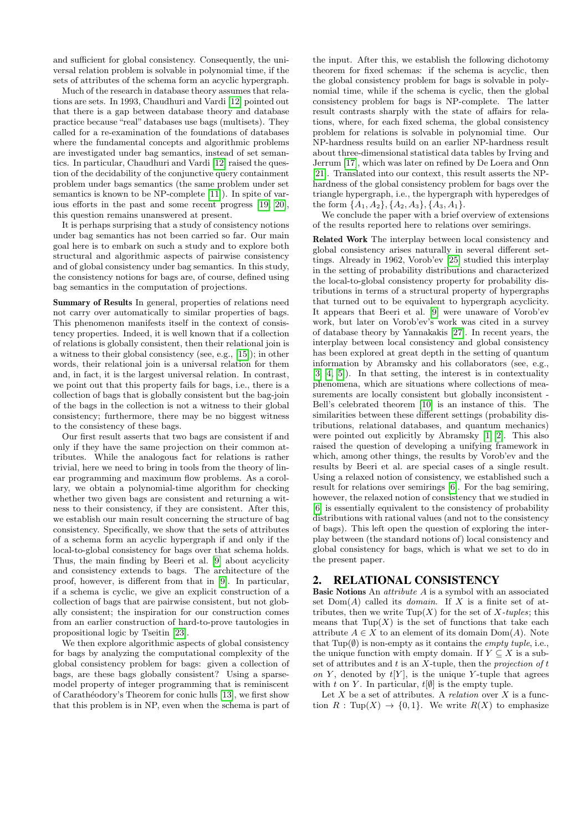and sufficient for global consistency. Consequently, the universal relation problem is solvable in polynomial time, if the sets of attributes of the schema form an acyclic hypergraph.

Much of the research in database theory assumes that relations are sets. In 1993, Chaudhuri and Vardi [\[12\]](#page-7-6) pointed out that there is a gap between database theory and database practice because "real" databases use bags (multisets). They called for a re-examination of the foundations of databases where the fundamental concepts and algorithmic problems are investigated under bag semantics, instead of set semantics. In particular, Chaudhuri and Vardi [\[12\]](#page-7-6) raised the question of the decidability of the conjunctive query containment problem under bags semantics (the same problem under set semantics is known to be NP-complete [\[11\]](#page-7-7)). In spite of various efforts in the past and some recent progress [\[19,](#page-7-8) [20\]](#page-7-9), this question remains unanswered at present.

It is perhaps surprising that a study of consistency notions under bag semantics has not been carried so far. Our main goal here is to embark on such a study and to explore both structural and algorithmic aspects of pairwise consistency and of global consistency under bag semantics. In this study, the consistency notions for bags are, of course, defined using bag semantics in the computation of projections.

Summary of Results In general, properties of relations need not carry over automatically to similar properties of bags. This phenomenon manifests itself in the context of consistency properties. Indeed, it is well known that if a collection of relations is globally consistent, then their relational join is a witness to their global consistency (see, e.g., [\[15\]](#page-7-4)); in other words, their relational join is a universal relation for them and, in fact, it is the largest universal relation. In contrast, we point out that this property fails for bags, i.e., there is a collection of bags that is globally consistent but the bag-join of the bags in the collection is not a witness to their global consistency; furthermore, there may be no biggest witness to the consistency of these bags.

Our first result asserts that two bags are consistent if and only if they have the same projection on their common attributes. While the analogous fact for relations is rather trivial, here we need to bring in tools from the theory of linear programming and maximum flow problems. As a corollary, we obtain a polynomial-time algorithm for checking whether two given bags are consistent and returning a witness to their consistency, if they are consistent. After this, we establish our main result concerning the structure of bag consistency. Specifically, we show that the sets of attributes of a schema form an acyclic hypergraph if and only if the local-to-global consistency for bags over that schema holds. Thus, the main finding by Beeri et al. [\[9\]](#page-7-5) about acyclicity and consistency extends to bags. The architecture of the proof, however, is different from that in [\[9\]](#page-7-5). In particular, if a schema is cyclic, we give an explicit construction of a collection of bags that are pairwise consistent, but not globally consistent; the inspiration for our construction comes from an earlier construction of hard-to-prove tautologies in propositional logic by Tseitin [\[23\]](#page-7-10).

We then explore algorithmic aspects of global consistency for bags by analyzing the computational complexity of the global consistency problem for bags: given a collection of bags, are these bags globally consistent? Using a sparsemodel property of integer programming that is reminiscent of Carathéodory's Theorem for conic hulls [\[13\]](#page-7-11), we first show that this problem is in NP, even when the schema is part of

the input. After this, we establish the following dichotomy theorem for fixed schemas: if the schema is acyclic, then the global consistency problem for bags is solvable in polynomial time, while if the schema is cyclic, then the global consistency problem for bags is NP-complete. The latter result contrasts sharply with the state of affairs for relations, where, for each fixed schema, the global consistency problem for relations is solvable in polynomial time. Our NP-hardness results build on an earlier NP-hardness result about three-dimensional statistical data tables by Irving and Jerrum [\[17\]](#page-7-12), which was later on refined by De Loera and Onn [\[21\]](#page-7-13). Translated into our context, this result asserts the NPhardness of the global consistency problem for bags over the triangle hypergraph, i.e., the hypergraph with hyperedges of the form  $\{A_1, A_2\}, \{A_2, A_3\}, \{A_3, A_1\}.$ 

We conclude the paper with a brief overview of extensions of the results reported here to relations over semirings.

Related Work The interplay between local consistency and global consistency arises naturally in several different settings. Already in 1962, Vorob'ev [\[25\]](#page-7-14) studied this interplay in the setting of probability distributions and characterized the local-to-global consistency property for probability distributions in terms of a structural property of hypergraphs that turned out to be equivalent to hypergraph acyclicity. It appears that Beeri et al. [\[9\]](#page-7-5) were unaware of Vorob'ev work, but later on Vorob'ev's work was cited in a survey of database theory by Yannakakis [\[27\]](#page-7-15). In recent years, the interplay between local consistency and global consistency has been explored at great depth in the setting of quantum information by Abramsky and his collaborators (see, e.g., [\[3,](#page-7-16) [4,](#page-7-17) [5\]](#page-7-18)). In that setting, the interest is in contextuality phenomena, which are situations where collections of measurements are locally consistent but globally inconsistent - Bell's celebrated theorem [\[10\]](#page-7-19) is an instance of this. The similarities between these different settings (probability distributions, relational databases, and quantum mechanics) were pointed out explicitly by Abramsky [\[1,](#page-7-20) [2\]](#page-7-21). This also raised the question of developing a unifying framework in which, among other things, the results by Vorob'ev and the results by Beeri et al. are special cases of a single result. Using a relaxed notion of consistency, we established such a result for relations over semirings [\[6\]](#page-7-22). For the bag semiring, however, the relaxed notion of consistency that we studied in [\[6\]](#page-7-22) is essentially equivalent to the consistency of probability distributions with rational values (and not to the consistency of bags). This left open the question of exploring the interplay between (the standard notions of) local consistency and global consistency for bags, which is what we set to do in the present paper.

## <span id="page-1-0"></span>2. RELATIONAL CONSISTENCY

Basic Notions An attribute A is a symbol with an associated set  $Dom(A)$  called its *domain*. If X is a finite set of attributes, then we write  $\text{Tup}(X)$  for the set of X-tuples; this means that  $Tup(X)$  is the set of functions that take each attribute  $A \in X$  to an element of its domain  $Dom(A)$ . Note that Tup $(\emptyset)$  is non-empty as it contains the *empty tuple*, i.e., the unique function with empty domain. If  $Y \subseteq X$  is a subset of attributes and  $t$  is an  $X$ -tuple, then the *projection of t* on Y, denoted by  $t[Y]$ , is the unique Y-tuple that agrees with t on Y. In particular,  $t[\emptyset]$  is the empty tuple.

Let  $X$  be a set of attributes. A *relation* over  $X$  is a function  $R: \text{Tup}(X) \to \{0,1\}$ . We write  $R(X)$  to emphasize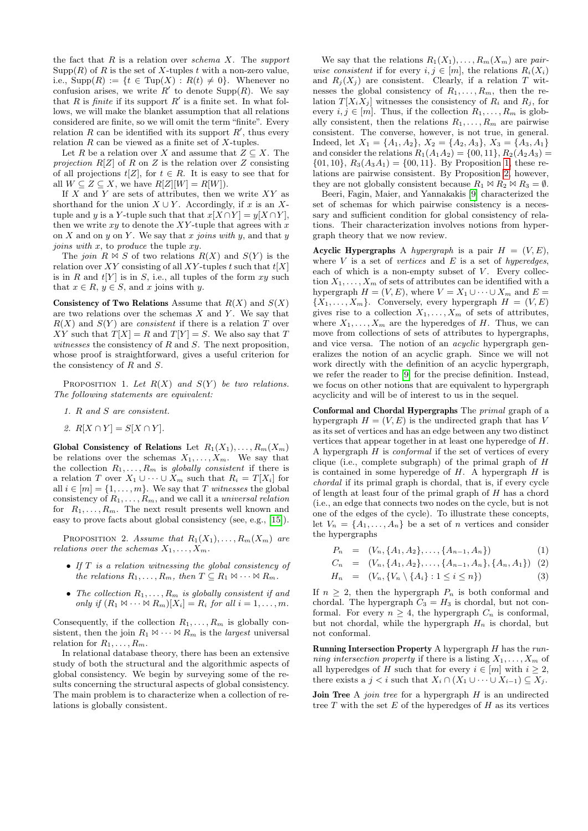the fact that  $R$  is a relation over schema  $X$ . The support  $\text{Supp}(R)$  of R is the set of X-tuples t with a non-zero value, i.e.,  $\text{Supp}(R) := \{t \in \text{Tup}(X) : R(t) \neq 0\}$ . Whenever no confusion arises, we write  $R'$  to denote  $\text{Supp}(R)$ . We say that R is *finite* if its support  $R'$  is a finite set. In what follows, we will make the blanket assumption that all relations considered are finite, so we will omit the term "finite". Every relation  $R$  can be identified with its support  $R'$ , thus every relation  $R$  can be viewed as a finite set of  $X$ -tuples.

Let R be a relation over X and assume that  $Z \subseteq X$ . The projection  $R[Z]$  of R on Z is the relation over Z consisting of all projections  $t[Z]$ , for  $t \in R$ . It is easy to see that for all  $W \subseteq Z \subseteq X$ , we have  $R[Z][W] = R[W]$ .

If  $X$  and  $Y$  are sets of attributes, then we write  $XY$  as shorthand for the union  $X \cup Y$ . Accordingly, if x is an Xtuple and y is a Y-tuple such that that  $x[X \cap Y] = y[X \cap Y]$ , then we write  $xy$  to denote the XY-tuple that agrees with x on X and on y on Y. We say that x joins with y, and that y joins with  $x$ , to produce the tuple  $xy$ .

The join  $R \bowtie S$  of two relations  $R(X)$  and  $S(Y)$  is the relation over XY consisting of all XY-tuples t such that  $t[X]$ is in R and  $t[Y]$  is in S, i.e., all tuples of the form  $xy$  such that  $x \in R$ ,  $y \in S$ , and x joins with y.

Consistency of Two Relations Assume that  $R(X)$  and  $S(X)$ are two relations over the schemas  $X$  and  $Y$ . We say that  $R(X)$  and  $S(Y)$  are *consistent* if there is a relation T over XY such that  $T[X] = R$  and  $T[Y] = S$ . We also say that T witnesses the consistency of  $R$  and  $S$ . The next proposition, whose proof is straightforward, gives a useful criterion for the consistency of R and S.

<span id="page-2-0"></span>PROPOSITION 1. Let  $R(X)$  and  $S(Y)$  be two relations. The following statements are equivalent:

- 1. R and S are consistent.
- 2.  $R[X \cap Y] = S[X \cap Y]$ .

Global Consistency of Relations Let  $R_1(X_1), \ldots, R_m(X_m)$ be relations over the schemas  $X_1, \ldots, X_m$ . We say that the collection  $R_1, \ldots, R_m$  is globally consistent if there is a relation T over  $X_1 \cup \cdots \cup X_m$  such that  $R_i = T[X_i]$  for all  $i \in [m] = \{1, \ldots, m\}$ . We say that T witnesses the global consistency of  $R_1, \ldots, R_m$ , and we call it a universal relation for  $R_1, \ldots, R_m$ . The next result presents well known and easy to prove facts about global consistency (see, e.g., [\[15\]](#page-7-4)).

<span id="page-2-1"></span>PROPOSITION 2. Assume that  $R_1(X_1), \ldots, R_m(X_m)$  are relations over the schemas  $X_1, \ldots, X_m$ .

- If T is a relation witnessing the global consistency of the relations  $R_1, \ldots, R_m$ , then  $T \subseteq R_1 \bowtie \cdots \bowtie R_m$ .
- The collection  $R_1, \ldots, R_m$  is globally consistent if and only if  $(R_1 \boxtimes \cdots \boxtimes R_m)[X_i] = R_i$  for all  $i = 1, \ldots, m$ .

Consequently, if the collection  $R_1, \ldots, R_m$  is globally consistent, then the join  $R_1 \bowtie \cdots \bowtie R_m$  is the *largest* universal relation for  $R_1, \ldots, R_m$ .

In relational database theory, there has been an extensive study of both the structural and the algorithmic aspects of global consistency. We begin by surveying some of the results concerning the structural aspects of global consistency. The main problem is to characterize when a collection of relations is globally consistent.

We say that the relations  $R_1(X_1), \ldots, R_m(X_m)$  are pairwise consistent if for every  $i, j \in [m]$ , the relations  $R_i(X_i)$ and  $R_i(X_i)$  are consistent. Clearly, if a relation T witnesses the global consistency of  $R_1, \ldots, R_m$ , then the relation  $T[X_i X_j]$  witnesses the consistency of  $R_i$  and  $R_j$ , for every  $i, j \in [m]$ . Thus, if the collection  $R_1, \ldots, R_m$  is globally consistent, then the relations  $R_1, \ldots, R_m$  are pairwise consistent. The converse, however, is not true, in general. Indeed, let  $X_1 = \{A_1, A_2\}, X_2 = \{A_2, A_3\}, X_3 = \{A_3, A_1\}$ and consider the relations  $R_1(A_1A_2) = \{00, 11\}, R_2(A_2A_3) =$  $\{01, 10\}, R_3(A_3A_1) = \{00, 11\}.$  By Proposition [1,](#page-2-0) these relations are pairwise consistent. By Proposition [2,](#page-2-1) however, they are not globally consistent because  $R_1 \bowtie R_2 \bowtie R_3 = \emptyset$ .

Beeri, Fagin, Maier, and Yannakakis [\[9\]](#page-7-5) characterized the set of schemas for which pairwise consistency is a necessary and sufficient condition for global consistency of relations. Their characterization involves notions from hypergraph theory that we now review.

Acyclic Hypergraphs A hypergraph is a pair  $H = (V, E)$ , where  $V$  is a set of vertices and  $E$  is a set of hyperedges, each of which is a non-empty subset of  $V$ . Every collection  $X_1, \ldots, X_m$  of sets of attributes can be identified with a hypergraph  $H = (V, E)$ , where  $V = X_1 \cup \cdots \cup X_m$  and  $E =$  ${X_1, \ldots, X_m}$ . Conversely, every hypergraph  $H = (V, E)$ gives rise to a collection  $X_1, \ldots, X_m$  of sets of attributes, where  $X_1, \ldots, X_m$  are the hyperedges of H. Thus, we can move from collections of sets of attributes to hypergraphs, and vice versa. The notion of an *acyclic* hypergraph generalizes the notion of an acyclic graph. Since we will not work directly with the definition of an acyclic hypergraph, we refer the reader to [\[9\]](#page-7-5) for the precise definition. Instead, we focus on other notions that are equivalent to hypergraph acyclicity and will be of interest to us in the sequel.

Conformal and Chordal Hypergraphs The primal graph of a hypergraph  $H = (V, E)$  is the undirected graph that has V as its set of vertices and has an edge between any two distinct vertices that appear together in at least one hyperedge of H. A hypergraph  $H$  is *conformal* if the set of vertices of every clique (i.e., complete subgraph) of the primal graph of  $H$ is contained in some hyperedge of  $H$ . A hypergraph  $H$  is chordal if its primal graph is chordal, that is, if every cycle of length at least four of the primal graph of  $H$  has a chord (i.e., an edge that connects two nodes on the cycle, but is not one of the edges of the cycle). To illustrate these concepts, let  $V_n = \{A_1, \ldots, A_n\}$  be a set of n vertices and consider the hypergraphs

$$
P_n = (V_n, \{A_1, A_2\}, \dots, \{A_{n-1}, A_n\})
$$
(1)

$$
C_n = (V_n, \{A_1, A_2\}, \dots, \{A_{n-1}, A_n\}, \{A_n, A_1\}) \tag{2}
$$

$$
H_n = (V_n, \{V_n \setminus \{A_i\} : 1 \le i \le n\})
$$
\n(3)

If  $n \geq 2$ , then the hypergraph  $P_n$  is both conformal and chordal. The hypergraph  $C_3 = H_3$  is chordal, but not conformal. For every  $n \geq 4$ , the hypergraph  $C_n$  is conformal, but not chordal, while the hypergraph  $H_n$  is chordal, but not conformal.

Running Intersection Property A hypergraph  $H$  has the running intersection property if there is a listing  $X_1, \ldots, X_m$  of all hyperedges of H such that for every  $i \in [m]$  with  $i \geq 2$ , there exists a  $j < i$  such that  $X_i \cap (X_1 \cup \cdots \cup X_{i-1}) \subseteq X_j$ .

**Join Tree** A *join tree* for a hypergraph  $H$  is an undirected tree  $T$  with the set  $E$  of the hyperedges of  $H$  as its vertices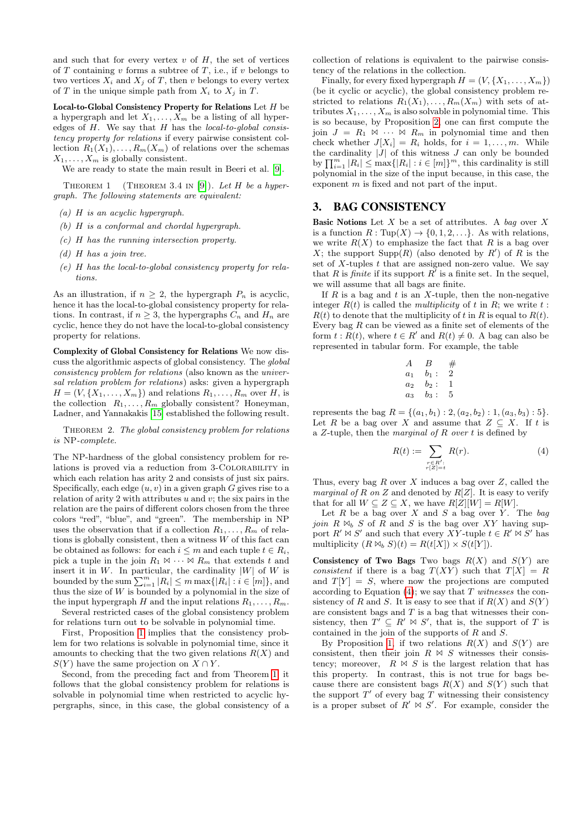and such that for every vertex  $v$  of  $H$ , the set of vertices of  $T$  containing  $v$  forms a subtree of  $T$ , i.e., if  $v$  belongs to two vertices  $X_i$  and  $X_j$  of T, then v belongs to every vertex of T in the unique simple path from  $X_i$  to  $X_j$  in T.

Local-to-Global Consistency Property for Relations Let H be a hypergraph and let  $X_1, \ldots, X_m$  be a listing of all hyperedges of  $H$ . We say that  $H$  has the *local-to-global consis*tency property for relations if every pairwise consistent collection  $R_1(X_1), \ldots, R_m(X_m)$  of relations over the schemas  $X_1, \ldots, X_m$  is globally consistent.

We are ready to state the main result in Beeri et al. [\[9\]](#page-7-5).

THEOREM 1 (THEOREM 3.4 IN [\[9\]](#page-7-5)). Let H be a hypergraph. The following statements are equivalent:

- (a) H is an acyclic hypergraph.
- (b) H is a conformal and chordal hypergraph.
- (c) H has the running intersection property.
- (d) H has a join tree.
- (e) H has the local-to-global consistency property for relations.

As an illustration, if  $n \geq 2$ , the hypergraph  $P_n$  is acyclic, hence it has the local-to-global consistency property for relations. In contrast, if  $n \geq 3$ , the hypergraphs  $C_n$  and  $H_n$  are cyclic, hence they do not have the local-to-global consistency property for relations.

Complexity of Global Consistency for Relations We now discuss the algorithmic aspects of global consistency. The global consistency problem for relations (also known as the universal relation problem for relations) asks: given a hypergraph  $H = (V, \{X_1, \ldots, X_m\})$  and relations  $R_1, \ldots, R_m$  over  $H$ , is the collection  $R_1, \ldots, R_m$  globally consistent? Honeyman, Ladner, and Yannakakis [\[15\]](#page-7-4) established the following result.

THEOREM 2. The global consistency problem for relations is NP-complete.

The NP-hardness of the global consistency problem for relations is proved via a reduction from 3-Colorability in which each relation has arity 2 and consists of just six pairs. Specifically, each edge  $(u, v)$  in a given graph G gives rise to a relation of arity 2 with attributes  $u$  and  $v$ ; the six pairs in the relation are the pairs of different colors chosen from the three colors "red", "blue", and "green". The membership in NP uses the observation that if a collection  $R_1, \ldots, R_m$  of relations is globally consistent, then a witness W of this fact can be obtained as follows: for each  $i \leq m$  and each tuple  $t \in R_i$ , pick a tuple in the join  $R_1 \bowtie \cdots \bowtie R_m$  that extends t and insert it in  $W$ . In particular, the cardinality  $|W|$  of  $W$  is bounded by the sum  $\sum_{i=1}^{m} |R_i| \leq m \max\{|R_i| : i \in [m]\},$  and thus the size of  $W$  is bounded by a polynomial in the size of the input hypergraph H and the input relations  $R_1, \ldots, R_m$ .

Several restricted cases of the global consistency problem for relations turn out to be solvable in polynomial time.

First, Proposition [1](#page-2-0) implies that the consistency problem for two relations is solvable in polynomial time, since it amounts to checking that the two given relations  $R(X)$  and  $S(Y)$  have the same projection on  $X \cap Y$ .

Second, from the preceding fact and from Theorem [1,](#page-3-0) it follows that the global consistency problem for relations is solvable in polynomial time when restricted to acyclic hypergraphs, since, in this case, the global consistency of a

collection of relations is equivalent to the pairwise consistency of the relations in the collection.

Finally, for every fixed hypergraph  $H = (V, \{X_1, \ldots, X_m\})$ (be it cyclic or acyclic), the global consistency problem restricted to relations  $R_1(X_1), \ldots, R_m(X_m)$  with sets of attributes  $X_1, \ldots, X_m$  is also solvable in polynomial time. This is so because, by Proposition [2,](#page-2-1) one can first compute the join  $J = R_1 \Join \cdots \Join R_m$  in polynomial time and then check whether  $J[X_i] = R_i$  holds, for  $i = 1, \ldots, m$ . While the cardinality  $|J|$  of this witness  $J$  can only be bounded by  $\prod_{i=1}^{m} |R_i| \le \max\{|R_i| : i \in [m]\}^m$ , this cardinality is still polynomial in the size of the input because, in this case, the exponent m is fixed and not part of the input.

#### <span id="page-3-0"></span>3. BAG CONSISTENCY

**Basic Notions** Let  $X$  be a set of attributes. A bag over  $X$ is a function  $R: \text{Tup}(X) \to \{0, 1, 2, ...\}$ . As with relations, we write  $R(X)$  to emphasize the fact that R is a bag over X; the support  $\text{Supp}(R)$  (also denoted by  $R'$ ) of R is the set of  $X$ -tuples  $t$  that are assigned non-zero value. We say that R is finite if its support  $R'$  is a finite set. In the sequel, we will assume that all bags are finite.

If  $R$  is a bag and  $t$  is an  $X$ -tuple, then the non-negative integer  $R(t)$  is called the *multiplicity* of t in R; we write t :  $R(t)$  to denote that the multiplicity of t in R is equal to  $R(t)$ . Every bag  $R$  can be viewed as a finite set of elements of the form  $t: R(t)$ , where  $t \in R'$  and  $R(t) \neq 0$ . A bag can also be represented in tabular form. For example, the table

| A              | В       | # |
|----------------|---------|---|
| a <sub>1</sub> | $b_1$ : | 2 |
| a <sub>2</sub> | $b_2$ : | 1 |
| $a_3$          | $b_3:$  | 5 |

represents the bag  $R = \{(a_1, b_1) : 2, (a_2, b_2) : 1, (a_3, b_3) : 5\}.$ Let R be a bag over X and assume that  $Z \subseteq X$ . If t is a Z-tuple, then the *marginal of R over t* is defined by

<span id="page-3-1"></span>
$$
R(t) := \sum_{\substack{r \in R':\\r|Z|=t}} R(r). \tag{4}
$$

Thus, every bag  $R$  over  $X$  induces a bag over  $Z$ , called the marginal of R on Z and denoted by  $R[Z]$ . It is easy to verify that for all  $W \subseteq Z \subseteq X$ , we have  $R[Z][W] = R[W]$ .

Let  $R$  be a bag over  $X$  and  $S$  a bag over  $Y$ . The bag join  $R \Join_b S$  of  $R$  and  $S$  is the bag over XY having support  $R' \bowtie S'$  and such that every XY-tuple  $t \in R' \bowtie S'$  has multiplicity  $(R \bowtie_b S)(t) = R(t[X]) \times S(t[Y])$ .

Consistency of Two Bags Two bags  $R(X)$  and  $S(Y)$  are consistent if there is a bag  $T(XY)$  such that  $T[X] = R$ and  $T[Y] = S$ , where now the projections are computed according to Equation  $(4)$ ; we say that T witnesses the consistency of R and S. It is easy to see that if  $R(X)$  and  $S(Y)$ are consistent bags and  $T$  is a bag that witnesses their consistency, then  $T' \subseteq R' \bowtie S'$ , that is, the support of T is contained in the join of the supports of R and S.

By Proposition [1,](#page-2-0) if two relations  $R(X)$  and  $S(Y)$  are consistent, then their join  $R \Join S$  witnesses their consistency; moreover,  $R \Join S$  is the largest relation that has this property. In contrast, this is not true for bags because there are consistent bags  $R(X)$  and  $S(Y)$  such that the support  $T'$  of every bag  $\overline{T}$  witnessing their consistency is a proper subset of  $R' \bowtie S'$ . For example, consider the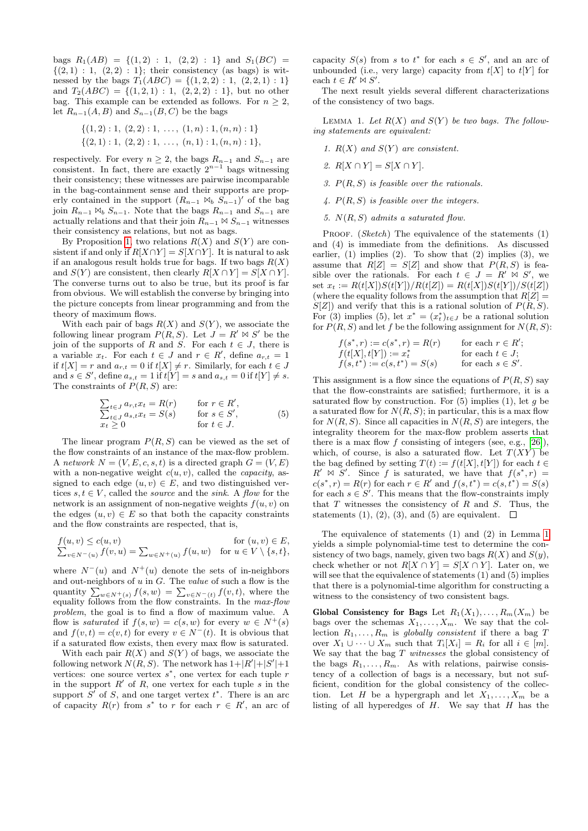bags  $R_1(AB) = \{(1,2) : 1, (2,2) : 1\}$  and  $S_1(BC) =$  $\{(2, 1) : 1, (2, 2) : 1\};$  their consistency (as bags) is witnessed by the bags  $T_1(ABC) = \{(1, 2, 2) : 1, (2, 2, 1) : 1\}$ and  $T_2(ABC) = \{(1, 2, 1) : 1, (2, 2, 2) : 1\}$ , but no other bag. This example can be extended as follows. For  $n \geq 2$ , let  $R_{n-1}(A, B)$  and  $S_{n-1}(B, C)$  be the bags

$$
\{(1,2): 1, (2,2): 1, \ldots, (1,n): 1, (n,n): 1\}
$$

$$
\{(2,1): 1, (2,2): 1, \ldots, (n,1): 1, (n,n): 1\},\
$$

respectively. For every  $n \geq 2$ , the bags  $R_{n-1}$  and  $S_{n-1}$  are consistent. In fact, there are exactly  $2^{n-1}$  bags witnessing their consistency; these witnesses are pairwise incomparable in the bag-containment sense and their supports are properly contained in the support  $(R_{n-1} \bowtie_b S_{n-1})'$  of the bag join  $R_{n-1} \bowtie_b S_{n-1}$ . Note that the bags  $R_{n-1}$  and  $S_{n-1}$  are actually relations and that their join  $R_{n-1} \bowtie S_{n-1}$  witnesses their consistency as relations, but not as bags.

By Proposition [1,](#page-2-0) two relations  $R(X)$  and  $S(Y)$  are consistent if and only if  $R[X \cap Y] = S[X \cap Y]$ . It is natural to ask if an analogous result holds true for bags. If two bags  $R(X)$ and  $S(Y)$  are consistent, then clearly  $R[X \cap Y] = S[X \cap Y]$ . The converse turns out to also be true, but its proof is far from obvious. We will establish the converse by bringing into the picture concepts from linear programming and from the theory of maximum flows.

With each pair of bags  $R(X)$  and  $S(Y)$ , we associate the following linear program  $P(R, S)$ . Let  $J = R' \bowtie S'$  be the join of the supports of R and S. For each  $t \in J$ , there is a variable  $x_t$ . For each  $t \in J$  and  $r \in R'$ , define  $a_{r,t} = 1$ if  $t[X] = r$  and  $a_{r,t} = 0$  if  $t[X] \neq r$ . Similarly, for each  $t \in J$ and  $s \in S'$ , define  $a_{s,t} = 1$  if  $t[Y] = s$  and  $a_{s,t} = 0$  if  $t[Y] \neq s$ . The constraints of  $P(R, S)$  are:

$$
\sum_{t \in J} a_{r,t} x_t = R(r) \quad \text{for } r \in R',
$$
\n
$$
\sum_{t \in J} a_{s,t} x_t = S(s) \quad \text{for } s \in S',
$$
\n
$$
x_t \ge 0 \quad \text{for } t \in J.
$$
\n(5)

The linear program  $P(R, S)$  can be viewed as the set of the flow constraints of an instance of the max-flow problem. A network  $N = (V, E, c, s, t)$  is a directed graph  $G = (V, E)$ with a non-negative weight  $c(u, v)$ , called the *capacity*, assigned to each edge  $(u, v) \in E$ , and two distinguished vertices  $s, t \in V$ , called the *source* and the *sink*. A *flow* for the network is an assignment of non-negative weights  $f(u, v)$  on the edges  $(u, v) \in E$  so that both the capacity constraints and the flow constraints are respected, that is,

$$
f(u, v) \le c(u, v)
$$
 for  $(u, v) \in E$ ,  

$$
\sum_{v \in N^{-}(u)} f(v, u) = \sum_{w \in N^{+}(u)} f(u, w)
$$
 for  $u \in V \setminus \{s, t\}$ ,

where  $N^{-}(u)$  and  $N^{+}(u)$  denote the sets of in-neighbors and out-neighbors of  $u$  in  $G$ . The value of such a flow is the quantity  $\sum_{w \in N^+(s)} f(s, w) = \sum_{v \in N^-(t)} f(v, t)$ , where the equality follows from the flow constraints. In the max-flow problem, the goal is to find a flow of maximum value. A flow is *saturated* if  $f(s, w) = c(s, w)$  for every  $w \in N^+(s)$ and  $f(v, t) = c(v, t)$  for every  $v \in N^{-}(t)$ . It is obvious that if a saturated flow exists, then every max flow is saturated.

With each pair  $R(X)$  and  $S(Y)$  of bags, we associate the following network  $N(R, S)$ . The network has  $1+|R'|+|S'|+1$ vertices: one source vertex  $s^*$ , one vertex for each tuple  $r$ in the support  $R'$  of  $R$ , one vertex for each tuple  $s$  in the support  $S'$  of S, and one target vertex  $t^*$ . There is an arc of capacity  $R(r)$  from  $s^*$  to r for each  $r \in R'$ , an arc of

capacity  $S(s)$  from s to  $t^*$  for each  $s \in S'$ , and an arc of unbounded (i.e., very large) capacity from  $t[X]$  to  $t[Y]$  for each  $t \in R' \bowtie S'$ .

The next result yields several different characterizations of the consistency of two bags.

<span id="page-4-0"></span>LEMMA 1. Let  $R(X)$  and  $S(Y)$  be two bags. The following statements are equivalent:

- 1.  $R(X)$  and  $S(Y)$  are consistent.
- 2.  $R[X \cap Y] = S[X \cap Y]$ .
- 3.  $P(R, S)$  is feasible over the rationals.
- 4.  $P(R, S)$  is feasible over the integers.
- 5.  $N(R, S)$  admits a saturated flow.

PROOF. (Sketch) The equivalence of the statements  $(1)$ and (4) is immediate from the definitions. As discussed earlier,  $(1)$  implies  $(2)$ . To show that  $(2)$  implies  $(3)$ , we assume that  $R[Z] = S[Z]$  and show that  $P(R, S)$  is feasible over the rationals. For each  $t \in J = R' \bowtie S'$ , we set  $x_t := R(t[X])S(t[Y])/R(t[Z]) = R(t[X])S(t[Y])/S(t[Z])$ (where the equality follows from the assumption that  $R[Z] =$  $S[Z]$  and verify that this is a rational solution of  $P(R, S)$ . For (3) implies (5), let  $x^* = (x_t^*)_{t \in J}$  be a rational solution for  $P(R, S)$  and let f be the following assignment for  $N(R, S)$ :

$$
f(s^*, r) := c(s^*, r) = R(r)
$$
 for each  $r \in R'$ ;  
\n
$$
f(t[X], t[Y]) := x_t^*
$$
 for each  $t \in J$ ;  
\n
$$
f(s, t^*) := c(s, t^*) = S(s)
$$
 for each  $s \in S'$ .

This assignment is a flow since the equations of  $P(R, S)$  say that the flow-constraints are satisfied; furthermore, it is a saturated flow by construction. For  $(5)$  implies  $(1)$ , let g be a saturated flow for  $N(R, S)$ ; in particular, this is a max flow for  $N(R, S)$ . Since all capacities in  $N(R, S)$  are integers, the integrality theorem for the max-flow problem asserts that there is a max flow  $f$  consisting of integers (see, e.g., [\[26\]](#page-7-23)), which, of course, is also a saturated flow. Let  $T(XY)$  be the bag defined by setting  $T(t) := f(t[X], t[Y])$  for each  $t \in$  $R' \bowtie S'$ . Since f is saturated, we have that  $f(s^*, r) =$  $c(s^*, r) = R(r)$  for each  $r \in R'$  and  $f(s, t^*) = c(s, t^*) = S(s)$ for each  $s \in S'$ . This means that the flow-constraints imply that  $T$  witnesses the consistency of  $R$  and  $S$ . Thus, the statements  $(1)$ ,  $(2)$ ,  $(3)$ , and  $(5)$  are equivalent.

The equivalence of statements (1) and (2) in Lemma [1](#page-4-0) yields a simple polynomial-time test to determine the consistency of two bags, namely, given two bags  $R(X)$  and  $S(y)$ , check whether or not  $R[X \cap Y] = S[X \cap Y]$ . Later on, we will see that the equivalence of statements (1) and (5) implies that there is a polynomial-time algorithm for constructing a witness to the consistency of two consistent bags.

Global Consistency for Bags Let  $R_1(X_1), \ldots, R_m(X_m)$  be bags over the schemas  $X_1, \ldots, X_m$ . We say that the collection  $R_1, \ldots, R_m$  is globally consistent if there a bag T over  $X_1 \cup \cdots \cup X_m$  such that  $T_i[X_i] = R_i$  for all  $i \in [m]$ . We say that the bag  $T$  witnesses the global consistency of the bags  $R_1, \ldots, R_m$ . As with relations, pairwise consistency of a collection of bags is a necessary, but not sufficient, condition for the global consistency of the collection. Let H be a hypergraph and let  $X_1, \ldots, X_m$  be a listing of all hyperedges of  $H$ . We say that  $H$  has the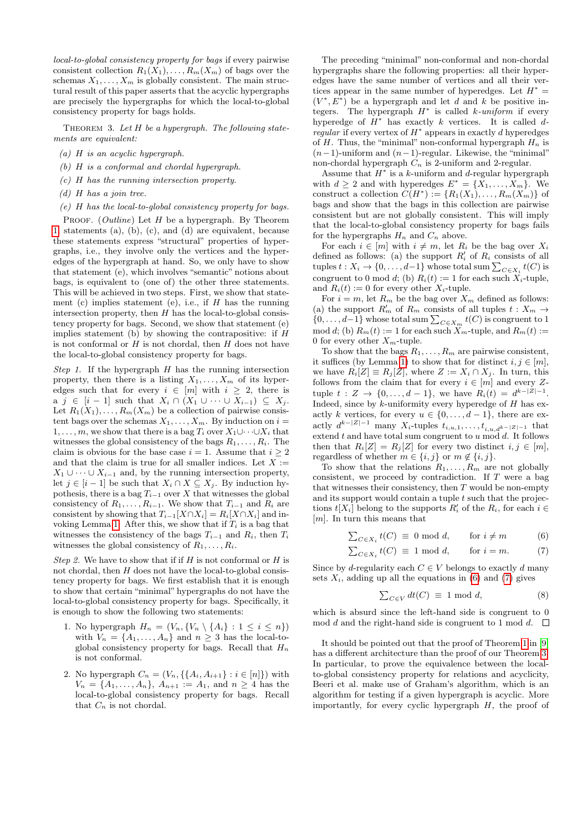local-to-global consistency property for bags if every pairwise consistent collection  $R_1(X_1), \ldots, R_m(X_m)$  of bags over the schemas  $X_1, \ldots, X_m$  is globally consistent. The main structural result of this paper asserts that the acyclic hypergraphs are precisely the hypergraphs for which the local-to-global consistency property for bags holds.

<span id="page-5-2"></span>THEOREM 3. Let  $H$  be a hypergraph. The following statements are equivalent:

- (a) H is an acyclic hypergraph.
- (b) H is a conformal and chordal hypergraph.
- (c) H has the running intersection property.
- $(d)$  H has a join tree.
- (e) H has the local-to-global consistency property for bags.

PROOF.  $(Outline)$  Let  $H$  be a hypergraph. By Theorem [1,](#page-3-0) statements (a), (b), (c), and (d) are equivalent, because these statements express "structural" properties of hypergraphs, i.e., they involve only the vertices and the hyperedges of the hypergraph at hand. So, we only have to show that statement (e), which involves "semantic" notions about bags, is equivalent to (one of) the other three statements. This will be achieved in two steps. First, we show that statement (c) implies statement (e), i.e., if  $H$  has the running intersection property, then  $H$  has the local-to-global consistency property for bags. Second, we show that statement (e) implies statement (b) by showing the contrapositive: if  $H$ is not conformal or  $H$  is not chordal, then  $H$  does not have the local-to-global consistency property for bags.

Step 1. If the hypergraph  $H$  has the running intersection property, then there is a listing  $X_1, \ldots, X_m$  of its hyperedges such that for every  $i \in [m]$  with  $i \geq 2$ , there is a  $j \in [i-1]$  such that  $X_i \cap (X_1 \cup \cdots \cup X_{i-1}) \subseteq X_j$ . Let  $R_1(X_1), \ldots, R_m(X_m)$  be a collection of pairwise consistent bags over the schemas  $X_1, \ldots, X_m$ . By induction on  $i =$  $1, \ldots, m$ , we show that there is a bag  $T_i$  over  $X_1 \cup \cdots \cup X_i$  that witnesses the global consistency of the bags  $R_1, \ldots, R_i$ . The claim is obvious for the base case  $i = 1$ . Assume that  $i \geq 2$ and that the claim is true for all smaller indices. Let  $X :=$  $X_1 \cup \cdots \cup X_{i-1}$  and, by the running intersection property, let  $j \in [i-1]$  be such that  $X_i \cap X \subseteq X_j$ . By induction hypothesis, there is a bag  $T_{i-1}$  over X that witnesses the global consistency of  $R_1, \ldots, R_{i-1}$ . We show that  $T_{i-1}$  and  $R_i$  are consistent by showing that  $T_{i-1}[X \cap X_i] = R_i[X \cap X_i]$  and in-voking Lemma [1.](#page-4-0) After this, we show that if  $T_i$  is a bag that witnesses the consistency of the bags  $T_{i-1}$  and  $R_i$ , then  $T_i$ witnesses the global consistency of  $R_1, \ldots, R_i$ .

Step 2. We have to show that if if  $H$  is not conformal or  $H$  is not chordal, then  $H$  does not have the local-to-global consistency property for bags. We first establish that it is enough to show that certain "minimal" hypergraphs do not have the local-to-global consistency property for bags. Specifically, it is enough to show the following two statements:

- 1. No hypergraph  $H_n = (V_n, \{V_n \setminus \{A_i\} : 1 \leq i \leq n\})$ with  $V_n = \{A_1, \ldots, A_n\}$  and  $n \geq 3$  has the local-toglobal consistency property for bags. Recall that  $H_n$ is not conformal.
- 2. No hypergraph  $C_n = (V_n, \{A_i, A_{i+1}\} : i \in [n]\})$  with  $V_n = \{A_1, \ldots, A_n\}, A_{n+1} := A_1$ , and  $n \geq 4$  has the local-to-global consistency property for bags. Recall that  $C_n$  is not chordal.

The preceding "minimal" non-conformal and non-chordal hypergraphs share the following properties: all their hyperedges have the same number of vertices and all their vertices appear in the same number of hyperedges. Let  $H^* =$  $(V^*, E^*)$  be a hypergraph and let d and k be positive integers. The hypergraph  $H^*$  is called k-uniform if every hyperedge of  $H^*$  has exactly k vertices. It is called d $regular$  if every vertex of  $H^*$  appears in exactly d hyperedges of H. Thus, the "minimal" non-conformal hypergraph  $H_n$  is  $(n-1)$ -uniform and  $(n-1)$ -regular. Likewise, the "minimal" non-chordal hypergraph  $C_n$  is 2-uniform and 2-regular.

Assume that  $H^*$  is a k-uniform and d-regular hypergraph with  $d \geq 2$  and with hyperedges  $E^* = \{X_1, \ldots, X_m\}$ . We construct a collection  $C(H^*) := \{R_1(X_1), \ldots, R_m(X_m)\}\$ of bags and show that the bags in this collection are pairwise consistent but are not globally consistent. This will imply that the local-to-global consistency property for bags fails for the hypergraphs  $H_n$  and  $C_n$  above.

For each  $i \in [m]$  with  $i \neq m$ , let  $R_i$  be the bag over  $X_i$ defined as follows: (a) the support  $R'_i$  of  $R_i$  consists of all tuples  $t: X_i \to \{0, \ldots, d-1\}$  whose total sum  $\sum_{C \in X_i} t(C)$  is congruent to 0 mod d; (b)  $R_i(t) := 1$  for each such  $X_i$ -tuple, and  $R_i(t) := 0$  for every other  $X_i$ -tuple.

For  $i = m$ , let  $R_m$  be the bag over  $X_m$  defined as follows: (a) the support  $R'_m$  of  $R_m$  consists of all tuples  $t: X_m \to$  $\{0, \ldots, d-1\}$  whose total sum  $\sum_{C \in X_m} t(C)$  is congruent to 1  $\mod d$ ; (b)  $R_m(t) := 1$  for each such  $X_m$ -tuple, and  $R_m(t) :=$ 0 for every other  $X_m$ -tuple.

To show that the bags  $R_1, \ldots, R_m$  are pairwise consistent, it suffices (by Lemma [1\)](#page-4-0) to show that for distinct  $i, j \in [m]$ , we have  $R_i[Z] \equiv R_j[Z]$ , where  $Z := X_i \cap X_j$ . In turn, this follows from the claim that for every  $i \in [m]$  and every Ztuple  $t : Z \to \{0, ..., d-1\}$ , we have  $R_i(t) = d^{k-|Z|-1}$ . Indeed, since by  $k$ -uniformity every hyperedge of  $H$  has exactly k vertices, for every  $u \in \{0, \ldots, d-1\}$ , there are exactly  $d^{k-|Z|-1}$  many  $X_i$ -tuples  $t_{i,u,1}, \ldots, t_{i,u,d^{k-|Z|-1}}$  that extend  $t$  and have total sum congruent to  $u \mod d$ . It follows then that  $R_i[Z] = R_j[Z]$  for every two distinct  $i, j \in [m]$ , regardless of whether  $m \in \{i, j\}$  or  $m \notin \{i, j\}$ .

To show that the relations  $R_1, \ldots, R_m$  are not globally consistent, we proceed by contradiction. If  $T$  were a bag that witnesses their consistency, then  $T$  would be non-empty and its support would contain a tuple  $t$  such that the projections  $t[X_i]$  belong to the supports  $R'_i$  of the  $R_i$ , for each  $i \in$ [m]. In turn this means that

$$
\sum_{C \in X_i} t(C) \equiv 0 \mod d, \quad \text{for } i \neq m \tag{6}
$$

$$
\sum_{C \in X_i} t(C) \equiv 1 \mod d, \quad \text{for } i = m. \tag{7}
$$

Since by d-regularity each  $C \in V$  belongs to exactly d many sets  $X_i$ , adding up all the equations in [\(6\)](#page-5-0) and [\(7\)](#page-5-1) gives

<span id="page-5-1"></span><span id="page-5-0"></span>
$$
\sum_{C \in V} dt(C) \equiv 1 \bmod d, \tag{8}
$$

which is absurd since the left-hand side is congruent to 0 mod d and the right-hand side is congruent to 1 mod d.  $\Box$ 

It should be pointed out that the proof of Theorem [1](#page-3-0) in [\[9\]](#page-7-5) has a different architecture than the proof of our Theorem [3.](#page-5-2) In particular, to prove the equivalence between the localto-global consistency property for relations and acyclicity, Beeri et al. make use of Graham's algorithm, which is an algorithm for testing if a given hypergraph is acyclic. More importantly, for every cyclic hypergraph  $H$ , the proof of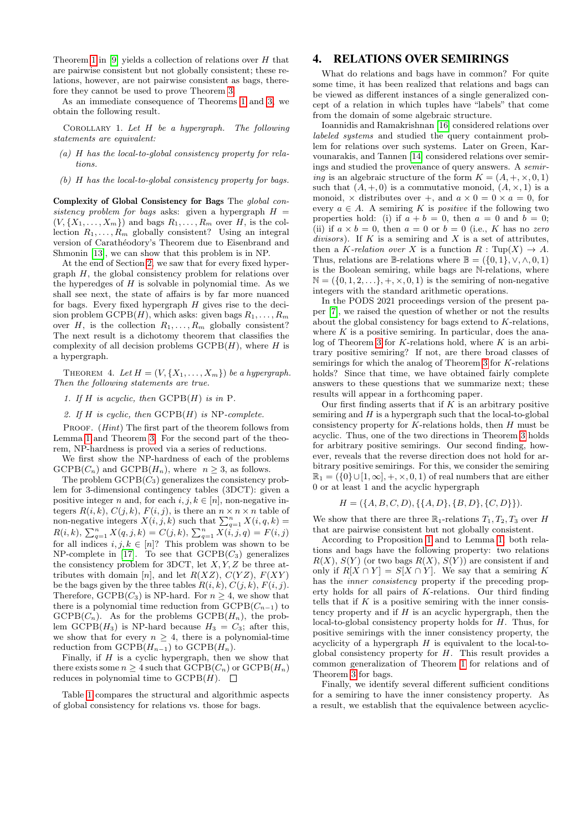Theorem [1](#page-3-0) in  $[9]$  yields a collection of relations over H that are pairwise consistent but not globally consistent; these relations, however, are not pairwise consistent as bags, therefore they cannot be used to prove Theorem [3.](#page-5-2)

As an immediate consequence of Theorems [1](#page-3-0) and [3,](#page-5-2) we obtain the following result.

COROLLARY 1. Let  $H$  be a hypergraph. The following statements are equivalent:

- (a) H has the local-to-global consistency property for relations.
- (b) H has the local-to-global consistency property for bags.

Complexity of Global Consistency for Bags The global consistency problem for bags asks: given a hypergraph  $H =$  $(V, \{X_1, \ldots, X_m\})$  and bags  $R_1, \ldots, R_m$  over H, is the collection  $R_1, \ldots, R_m$  globally consistent? Using an integral version of Carathéodory's Theorem due to Eisenbrand and Shmonin [\[13\]](#page-7-11), we can show that this problem is in NP.

At the end of Section [2,](#page-1-0) we saw that for every fixed hypergraph  $H$ , the global consistency problem for relations over the hyperedges of  $H$  is solvable in polynomial time. As we shall see next, the state of affairs is by far more nuanced for bags. Every fixed hypergraph  $H$  gives rise to the decision problem  $\text{GCPB}(H)$ , which asks: given bags  $R_1, \ldots, R_m$ over  $H$ , is the collection  $R_1, \ldots, R_m$  globally consistent? The next result is a dichotomy theorem that classifies the complexity of all decision problems  $\mathrm{GCPB}(H)$ , where H is a hypergraph.

THEOREM 4. Let  $H = (V, \{X_1, \ldots, X_m\})$  be a hypergraph. Then the following statements are true.

1. If H is acyclic, then  $\mathrm{GCPB}(H)$  is in P.

2. If H is cyclic, then  $\text{GCPB}(H)$  is NP-complete.

PROOF. (*Hint*) The first part of the theorem follows from Lemma [1](#page-4-0) and Theorem [3.](#page-5-2) For the second part of the theorem, NP-hardness is proved via a series of reductions.

We first show the NP-hardness of each of the problems  $GCPB(C_n)$  and  $GCPB(H_n)$ , where  $n \geq 3$ , as follows.

The problem  $\text{GCPB}(C_3)$  generalizes the consistency problem for 3-dimensional contingency tables (3DCT): given a positive integer n and, for each  $i, j, k \in [n]$ , non-negative integers  $R(i, k), C(j, k), F(i, j)$ , is there an  $n \times n \times n$  table of non-negative integers  $X(i, j, k)$  such that  $\sum_{q=1}^{n} X(i, q, k) =$  $R(i,k),\ \sum_{q=1}^{n}X(q,j,k)=C(j,k),\ \sum_{q=1}^{n}X(\dot{i},j,q)=F(i,j)$ for all indices  $i, j, k \in [n]$ ? This problem was shown to be NP-complete in [\[17\]](#page-7-12). To see that  $\text{GCPB}(C_3)$  generalizes the consistency problem for 3DCT, let  $X, Y, Z$  be three attributes with domain [n], and let  $R(XZ)$ ,  $C(YZ)$ ,  $F(XY)$ be the bags given by the three tables  $R(i, k), C(j, k), F(i, j)$ . Therefore,  $\text{GCPB}(C_3)$  is NP-hard. For  $n \geq 4$ , we show that there is a polynomial time reduction from  $\text{GCPB}(C_{n-1})$  to  $GCPB(C_n)$ . As for the problems  $GCPB(H_n)$ , the problem GCPB( $H_3$ ) is NP-hard because  $H_3 = C_3$ ; after this, we show that for every  $n \geq 4$ , there is a polynomial-time reduction from  $\text{GCPB}(H_{n-1})$  to  $\text{GCPB}(H_n)$ .

Finally, if  $H$  is a cyclic hypergraph, then we show that there exists some  $n \geq 4$  such that  $\mathrm{GCPB}(C_n)$  or  $\mathrm{GCPB}(H_n)$ reduces in polynomial time to  $\text{GCPB}(H)$ .  $\Box$ 

Table [1](#page-7-24) compares the structural and algorithmic aspects of global consistency for relations vs. those for bags.

### 4. RELATIONS OVER SEMIRINGS

What do relations and bags have in common? For quite some time, it has been realized that relations and bags can be viewed as different instances of a single generalized concept of a relation in which tuples have "labels" that come from the domain of some algebraic structure.

Ioannidis and Ramakrishnan [\[16\]](#page-7-25) considered relations over labeled systems and studied the query containment problem for relations over such systems. Later on Green, Karvounarakis, and Tannen [\[14\]](#page-7-26) considered relations over semirings and studied the provenance of query answers. A semiring is an algebraic structure of the form  $K = (A, +, \times, 0, 1)$ such that  $(A, +, 0)$  is a commutative monoid,  $(A, \times, 1)$  is a monoid,  $\times$  distributes over +, and  $a \times 0 = 0 \times a = 0$ , for every  $a \in A$ . A semiring K is *positive* if the following two properties hold: (i) if  $a + b = 0$ , then  $a = 0$  and  $b = 0$ ; (ii) if  $a \times b = 0$ , then  $a = 0$  or  $b = 0$  (i.e., K has no zero divisors). If  $K$  is a semiring and  $X$  is a set of attributes, then a K-relation over X is a function  $R: \text{Tup}(X) \to A$ . Thus, relations are B-relations where  $\mathbb{B} = (\{0, 1\}, \vee, \wedge, 0, 1)$ is the Boolean semiring, while bags are N-relations, where  $\mathbb{N} = (\{0, 1, 2, \ldots\}, +, \times, 0, 1)$  is the semiring of non-negative integers with the standard arithmetic operations.

In the PODS 2021 proceedings version of the present paper [\[7\]](#page-7-27), we raised the question of whether or not the results about the global consistency for bags extend to K-relations, where  $K$  is a positive semiring. In particular, does the ana $log$  of Theorem [3](#page-5-2) for K-relations hold, where K is an arbitrary positive semiring? If not, are there broad classes of semirings for which the analog of Theorem [3](#page-5-2) for K-relations holds? Since that time, we have obtained fairly complete answers to these questions that we summarize next; these results will appear in a forthcoming paper.

Our first finding asserts that if  $K$  is an arbitrary positive semiring and  $H$  is a hypergraph such that the local-to-global consistency property for  $K$ -relations holds, then  $H$  must be acyclic. Thus, one of the two directions in Theorem [3](#page-5-2) holds for arbitrary positive semirings. Our second finding, however, reveals that the reverse direction does not hold for arbitrary positive semirings. For this, we consider the semiring  $\mathbb{R}_1 = (\{0\} \cup [1,\infty], +, \times, 0, 1)$  of real numbers that are either 0 or at least 1 and the acyclic hypergraph

$$
H = (\{A, B, C, D\}, \{\{A, D\}, \{B, D\}, \{C, D\}\}).
$$

We show that there are three  $\mathbb{R}_1$ -relations  $T_1, T_2, T_3$  over H that are pairwise consistent but not globally consistent.

According to Proposition [1](#page-2-0) and to Lemma [1,](#page-4-0) both relations and bags have the following property: two relations  $R(X), S(Y)$  (or two bags  $R(X), S(Y)$ ) are consistent if and only if  $R[X \cap Y] = S[X \cap Y]$ . We say that a semiring K has the *inner consistency* property if the preceding property holds for all pairs of K-relations. Our third finding tells that if  $K$  is a positive semiring with the inner consistency property and if  $H$  is an acyclic hypergraph, then the local-to-global consistency property holds for H. Thus, for positive semirings with the inner consistency property, the acyclicity of a hypergraph  $H$  is equivalent to the local-toglobal consistency property for  $H$ . This result provides a common generalization of Theorem [1](#page-3-0) for relations and of Theorem [3](#page-5-2) for bags.

Finally, we identify several different sufficient conditions for a semiring to have the inner consistency property. As a result, we establish that the equivalence between acyclic-